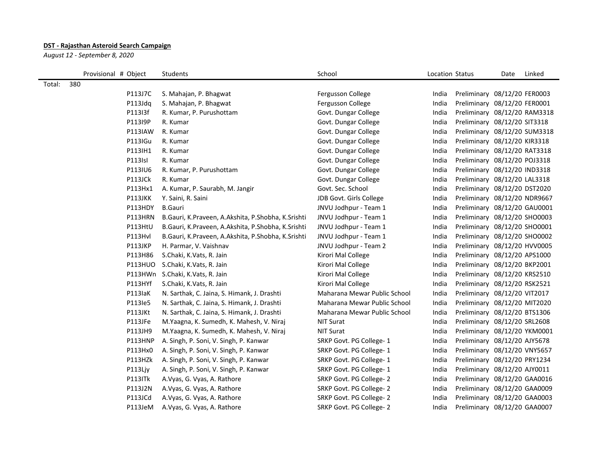## **DST - Rajasthan Asteroid Search Campaign**

*August 12 - September 8, 2020*

|        | Provisional # Object | Students                                           | School                       | Location Status |                              | Date | Linked |
|--------|----------------------|----------------------------------------------------|------------------------------|-----------------|------------------------------|------|--------|
| Total: | 380                  |                                                    |                              |                 |                              |      |        |
|        | P113J7C              | S. Mahajan, P. Bhagwat                             | Fergusson College            | India           | Preliminary 08/12/20 FER0003 |      |        |
|        | P113Jdq              | S. Mahajan, P. Bhagwat                             | Fergusson College            | India           | Preliminary 08/12/20 FER0001 |      |        |
|        | P113I3f              | R. Kumar, P. Purushottam                           | Govt. Dungar College         | India           | Preliminary 08/12/20 RAM3318 |      |        |
|        | P113I9P              | R. Kumar                                           | Govt. Dungar College         | India           | Preliminary 08/12/20 SIT3318 |      |        |
|        | P113IAW              | R. Kumar                                           | Govt. Dungar College         | India           | Preliminary 08/12/20 SUM3318 |      |        |
|        | P113IGu              | R. Kumar                                           | Govt. Dungar College         | India           | Preliminary 08/12/20 KIR3318 |      |        |
|        | P113IH1              | R. Kumar                                           | Govt. Dungar College         | India           | Preliminary 08/12/20 RAT3318 |      |        |
|        | P113Isl              | R. Kumar                                           | Govt. Dungar College         | India           | Preliminary 08/12/20 POJ3318 |      |        |
|        | P113IU6              | R. Kumar, P. Purushottam                           | Govt. Dungar College         | India           | Preliminary 08/12/20 IND3318 |      |        |
|        | P113JCk              | R. Kumar                                           | Govt. Dungar College         | India           | Preliminary 08/12/20 LAL3318 |      |        |
|        | P113Hx1              | A. Kumar, P. Saurabh, M. Jangir                    | Govt. Sec. School            | India           | Preliminary 08/12/20 DST2020 |      |        |
|        | P113JKK              | Y. Saini, R. Saini                                 | JDB Govt. Girls College      | India           | Preliminary 08/12/20 NDR9667 |      |        |
|        | P113HDY              | <b>B.Gauri</b>                                     | JNVU Jodhpur - Team 1        | India           | Preliminary 08/12/20 GAU0001 |      |        |
|        | P113HRN              | B.Gauri, K.Praveen, A.Akshita, P.Shobha, K.Srishti | JNVU Jodhpur - Team 1        | India           | Preliminary 08/12/20 SHO0003 |      |        |
|        | P113HtU              | B.Gauri, K.Praveen, A.Akshita, P.Shobha, K.Srishti | JNVU Jodhpur - Team 1        | India           | Preliminary 08/12/20 SHO0001 |      |        |
|        | P113Hvl              | B.Gauri, K.Praveen, A.Akshita, P.Shobha, K.Srishti | JNVU Jodhpur - Team 1        | India           | Preliminary 08/12/20 SHO0002 |      |        |
|        | P113JKP              | H. Parmar, V. Vaishnav                             | JNVU Jodhpur - Team 2        | India           | Preliminary 08/12/20 HVV0005 |      |        |
|        | P113H86              | S.Chaki, K.Vats, R. Jain                           | Kirori Mal College           | India           | Preliminary 08/12/20 APS1000 |      |        |
|        | <b>P113HUO</b>       | S.Chaki, K.Vats, R. Jain                           | Kirori Mal College           | India           | Preliminary 08/12/20 BKP2001 |      |        |
|        | P113HWn              | S.Chaki, K.Vats, R. Jain                           | Kirori Mal College           | India           | Preliminary 08/12/20 KRS2510 |      |        |
|        | P113HYf              | S.Chaki, K.Vats, R. Jain                           | Kirori Mal College           | India           | Preliminary 08/12/20 RSK2521 |      |        |
|        | P113laK              | N. Sarthak, C. Jaina, S. Himank, J. Drashti        | Maharana Mewar Public School | India           | Preliminary 08/12/20 VIT2017 |      |        |
|        | P113le5              | N. Sarthak, C. Jaina, S. Himank, J. Drashti        | Maharana Mewar Public School | India           | Preliminary 08/12/20 MIT2020 |      |        |
|        | P113JKt              | N. Sarthak, C. Jaina, S. Himank, J. Drashti        | Maharana Mewar Public School | India           | Preliminary 08/12/20 BTS1306 |      |        |
|        | P113JFe              | M.Yaagna, K. Sumedh, K. Mahesh, V. Niraj           | <b>NIT Surat</b>             | India           | Preliminary 08/12/20 SRL2608 |      |        |
|        | P113JH9              | M.Yaagna, K. Sumedh, K. Mahesh, V. Niraj           | NIT Surat                    | India           | Preliminary 08/12/20 YKM0001 |      |        |
|        | P113HNP              | A. Singh, P. Soni, V. Singh, P. Kanwar             | SRKP Govt. PG College-1      | India           | Preliminary 08/12/20 AJY5678 |      |        |
|        | P113Hx0              | A. Singh, P. Soni, V. Singh, P. Kanwar             | SRKP Govt. PG College-1      | India           | Preliminary 08/12/20 VNY5657 |      |        |
|        | P113HZk              | A. Singh, P. Soni, V. Singh, P. Kanwar             | SRKP Govt. PG College-1      | India           | Preliminary 08/12/20 PRY1234 |      |        |
|        | P113Ljy              | A. Singh, P. Soni, V. Singh, P. Kanwar             | SRKP Govt. PG College- 1     | India           | Preliminary 08/12/20 AJY0011 |      |        |
|        | P113ITk              | A. Vyas, G. Vyas, A. Rathore                       | SRKP Govt. PG College-2      | India           | Preliminary 08/12/20 GAA0016 |      |        |
|        | P113J2N              | A. Vyas, G. Vyas, A. Rathore                       | SRKP Govt. PG College- 2     | India           | Preliminary 08/12/20 GAA0009 |      |        |
|        | P113JCd              | A. Vyas, G. Vyas, A. Rathore                       | SRKP Govt. PG College-2      | India           | Preliminary 08/12/20 GAA0003 |      |        |
|        | P113JeM              | A. Vyas, G. Vyas, A. Rathore                       | SRKP Govt. PG College-2      | India           | Preliminary 08/12/20 GAA0007 |      |        |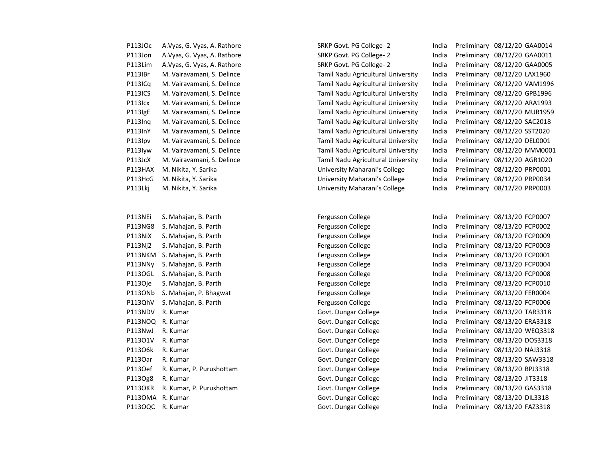| P113JOc | A.Vyas, G. Vyas, A. Rathore  |
|---------|------------------------------|
| P113Jon | A. Vyas, G. Vyas, A. Rathore |
| P113Lim | A. Vyas, G. Vyas, A. Rathore |
| P113IBr | M. Vairavamani, S. Delince   |
| P113ICq | M. Vairavamani, S. Delince   |
| P113ICS | M. Vairavamani, S. Delince   |
| P113Icx | M. Vairavamani, S. Delince   |
| P113IgE | M. Vairavamani, S. Delince   |
| P113Ing | M. Vairavamani, S. Delince   |
| P113InY | M. Vairavamani, S. Delince   |
| P113lpv | M. Vairavamani, S. Delince   |
| P113Iyw | M. Vairavamani, S. Delince   |
| P113JcX | M. Vairavamani, S. Delince   |
| P113HAX | M. Nikita, Y. Sarika         |
| P113HcG | M. Nikita, Y. Sarika         |
| P113Lki | M. Nikita, Y. Sarika         |

| PIISNEI          | S. Manajan, B. Parth    |
|------------------|-------------------------|
| P113NG8          | S. Mahajan, B. Parth    |
| P113NiX          | S. Mahajan, B. Parth    |
| P113Nj2          | S. Mahajan, B. Parth    |
| P113NKM          | S. Mahajan, B. Parth    |
| P113NNy          | S. Mahajan, B. Parth    |
| P113OGL          | S. Mahajan, B. Parth    |
| P113Oje          | S. Mahajan, B. Parth    |
| P113ONb          | S. Mahajan, P. Bhagwat  |
| P113QhV          | S. Mahajan, B. Parth    |
| P113NDV          | R. Kumar                |
| P113NOQ R. Kumar |                         |
| P113NwJ          | R. Kumar                |
| P113O1V          | R. Kumar                |
| P113O6k          | R. Kumar                |
| P1130ar          | R. Kumar                |
| P113Oef          | R. Kumar, P. Purushotta |
| P113Og8          | R. Kumar                |
| P113OKR          | R. Kumar, P. Purushotta |
| P113OMA          | R. Kumar                |
| P113OQC          | R. Kumar                |
|                  |                         |

SRKP Govt. PG College- 2 India Preliminary 08/12/20 GAA0014

SRKP Govt. PG College- 2 India Preliminary 08/12/20 GAA0011 SRKP Govt. PG College- 2 **India Preliminary 08/12/20 GAA0005** Tamil Nadu Agricultural University India Preliminary 08/12/20 LAX1960 Tamil Nadu Agricultural University India Preliminary 08/12/20 VAM1996 Tamil Nadu Agricultural University India Preliminary 08/12/20 GPB1996 Tamil Nadu Agricultural University India Preliminary 08/12/20 ARA1993 Tamil Nadu Agricultural University India Preliminary 08/12/20 MUR1959 Tamil Nadu Agricultural University India Preliminary 08/12/20 SAC2018 Tamil Nadu Agricultural University India Preliminary 08/12/20 SST2020 Tamil Nadu Agricultural University India Preliminary 08/12/20 DEL0001 Tamil Nadu Agricultural University India Preliminary 08/12/20 MVM0001 Tamil Nadu Agricultural University India Preliminary 08/12/20 AGR1020 University Maharani's College India Preliminary 08/12/20 PRP0001 University Maharani's College India Preliminary 08/12/20 PRP0034 University Maharani's College India Preliminary 08/12/20 PRP0003

P113NEi S. Mahajan, B. Parth **Fergusson College** Fergusson College Fergusson College Preliminary 08/13/20 FCP0007 Pergusson College **India Preliminary 08/13/20 FCP0002** Pergusson College **India Preliminary 08/13/20 FCP0009** Pergusson College **India Preliminary 08/13/20 FCP0003** Pergusson College **India Preliminary 08/13/20 FCP0001** Pergusson College **India Preliminary 08/13/20 FCP0004** Pergusson College **India Preliminary 08/13/20 FCP0008** Pergusson College The State State Sergusson College India Preliminary 08/13/20 FCP0010 Fergusson College India Preliminary 08/13/20 FER0004 Fergusson College India Preliminary 08/13/20 FCP0006 Govt. Dungar College **India Preliminary 08/13/20 TAR3318** Govt. Dungar College India Preliminary 08/13/20 ERA3318 Govt. Dungar College The India Preliminary 08/13/20 WEQ3318 Govt. Dungar College **India Preliminary 08/13/20 DOS3318** Govt. Dungar College **India Preliminary 08/13/20 NAJ3318** Govt. Dungar College India Preliminary 08/13/20 SAW3318 am **Fand Covef Renaisian Govt.** Dungar College **India Preliminary 08/13/20 BPJ3318** Govt. Dungar College India Preliminary 08/13/20 JIT3318 am **Fand Covert. Dungar College India Preliminary 08/13/20 GAS3318** Govt. Dungar College India Preliminary 08/13/20 DIL3318 Govt. Dungar College **India Preliminary 08/13/20 FAZ3318**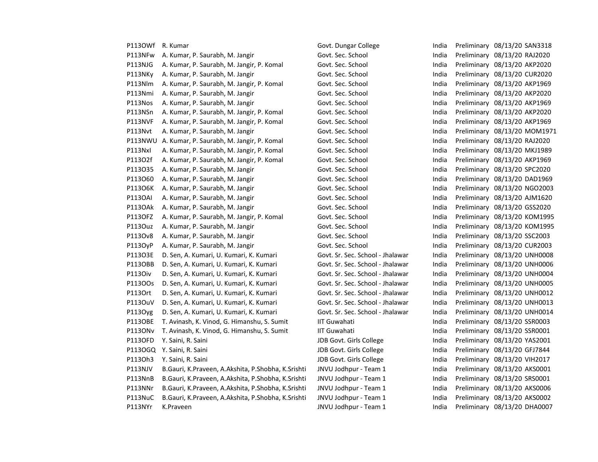| P1130Wf        | R. Kumar                                           | Govt. Dungar College             | India | Preliminary 08/13/20 SAN3318 |
|----------------|----------------------------------------------------|----------------------------------|-------|------------------------------|
| P113NFw        | A. Kumar, P. Saurabh, M. Jangir                    | Govt. Sec. School                | India | Preliminary 08/13/20 RAJ2020 |
| P113NJG        | A. Kumar, P. Saurabh, M. Jangir, P. Komal          | Govt. Sec. School                | India | Preliminary 08/13/20 AKP2020 |
| P113NKy        | A. Kumar, P. Saurabh, M. Jangir                    | Govt. Sec. School                | India | Preliminary 08/13/20 CUR2020 |
| P113Nlm        | A. Kumar, P. Saurabh, M. Jangir, P. Komal          | Govt. Sec. School                | India | Preliminary 08/13/20 AKP1969 |
| P113Nmi        | A. Kumar, P. Saurabh, M. Jangir                    | Govt. Sec. School                | India | Preliminary 08/13/20 AKP2020 |
| P113Nos        | A. Kumar, P. Saurabh, M. Jangir                    | Govt. Sec. School                | India | Preliminary 08/13/20 AKP1969 |
| P113NSn        | A. Kumar, P. Saurabh, M. Jangir, P. Komal          | Govt. Sec. School                | India | Preliminary 08/13/20 AKP2020 |
| P113NVF        | A. Kumar, P. Saurabh, M. Jangir, P. Komal          | Govt. Sec. School                | India | Preliminary 08/13/20 AKP1969 |
| P113Nvt        | A. Kumar, P. Saurabh, M. Jangir                    | Govt. Sec. School                | India | Preliminary 08/13/20 MOM1971 |
| P113NWU        | A. Kumar, P. Saurabh, M. Jangir, P. Komal          | Govt. Sec. School                | India | Preliminary 08/13/20 RAJ2020 |
| P113Nxl        | A. Kumar, P. Saurabh, M. Jangir, P. Komal          | Govt. Sec. School                | India | Preliminary 08/13/20 MKJ1989 |
| P11302f        | A. Kumar, P. Saurabh, M. Jangir, P. Komal          | Govt. Sec. School                | India | Preliminary 08/13/20 AKP1969 |
| P113O35        | A. Kumar, P. Saurabh, M. Jangir                    | Govt. Sec. School                | India | Preliminary 08/13/20 SPC2020 |
| P113060        | A. Kumar, P. Saurabh, M. Jangir                    | Govt. Sec. School                | India | Preliminary 08/13/20 DAD1969 |
| P11306K        | A. Kumar, P. Saurabh, M. Jangir                    | Govt. Sec. School                | India | Preliminary 08/13/20 NGO2003 |
| <b>P113OAI</b> | A. Kumar, P. Saurabh, M. Jangir                    | Govt. Sec. School                | India | Preliminary 08/13/20 AJM1620 |
| <b>P113OAk</b> | A. Kumar, P. Saurabh, M. Jangir                    | Govt. Sec. School                | India | Preliminary 08/13/20 GSS2020 |
| P113OFZ        | A. Kumar, P. Saurabh, M. Jangir, P. Komal          | Govt. Sec. School                | India | Preliminary 08/13/20 KOM1995 |
| P113Ouz        | A. Kumar, P. Saurabh, M. Jangir                    | Govt. Sec. School                | India | Preliminary 08/13/20 KOM1995 |
| P1130v8        | A. Kumar, P. Saurabh, M. Jangir                    | Govt. Sec. School                | India | Preliminary 08/13/20 SSC2003 |
| <b>P113OyP</b> | A. Kumar, P. Saurabh, M. Jangir                    | Govt. Sec. School                | India | Preliminary 08/13/20 CUR2003 |
| P113O3E        | D. Sen, A. Kumari, U. Kumari, K. Kumari            | Govt. Sr. Sec. School - Jhalawar | India | Preliminary 08/13/20 UNH0008 |
| P1130BB        | D. Sen, A. Kumari, U. Kumari, K. Kumari            | Govt. Sr. Sec. School - Jhalawar | India | Preliminary 08/13/20 UNH0006 |
| P1130iv        | D. Sen, A. Kumari, U. Kumari, K. Kumari            | Govt. Sr. Sec. School - Jhalawar | India | Preliminary 08/13/20 UNH0004 |
| P11300s        | D. Sen, A. Kumari, U. Kumari, K. Kumari            | Govt. Sr. Sec. School - Jhalawar | India | Preliminary 08/13/20 UNH0005 |
| P1130rt        | D. Sen, A. Kumari, U. Kumari, K. Kumari            | Govt. Sr. Sec. School - Jhalawar | India | Preliminary 08/13/20 UNH0012 |
| P1130uV        | D. Sen, A. Kumari, U. Kumari, K. Kumari            | Govt. Sr. Sec. School - Jhalawar | India | Preliminary 08/13/20 UNH0013 |
| P1130yg        | D. Sen, A. Kumari, U. Kumari, K. Kumari            | Govt. Sr. Sec. School - Jhalawar | India | Preliminary 08/13/20 UNH0014 |
| <b>P113OBE</b> | T. Avinash, K. Vinod, G. Himanshu, S. Sumit        | <b>IIT Guwahati</b>              | India | Preliminary 08/13/20 SSR0003 |
| P1130Nv        | T. Avinash, K. Vinod, G. Himanshu, S. Sumit        | <b>IIT Guwahati</b>              | India | Preliminary 08/13/20 SSR0001 |
| P113OFD        | Y. Saini, R. Saini                                 | JDB Govt. Girls College          | India | Preliminary 08/13/20 YAS2001 |
|                | P113OGQ Y. Saini, R. Saini                         | JDB Govt. Girls College          | India | Preliminary 08/13/20 GFJ7844 |
| P1130h3        | Y. Saini, R. Saini                                 | JDB Govt. Girls College          | India | Preliminary 08/13/20 VIH2017 |
| P113NJV        | B.Gauri, K.Praveen, A.Akshita, P.Shobha, K.Srishti | JNVU Jodhpur - Team 1            | India | Preliminary 08/13/20 AKS0001 |
| P113NnB        | B.Gauri, K.Praveen, A.Akshita, P.Shobha, K.Srishti | JNVU Jodhpur - Team 1            | India | Preliminary 08/13/20 SRS0001 |
| P113NNr        | B.Gauri, K.Praveen, A.Akshita, P.Shobha, K.Srishti | JNVU Jodhpur - Team 1            | India | Preliminary 08/13/20 AKS0006 |
| P113NuC        | B.Gauri, K.Praveen, A.Akshita, P.Shobha, K.Srishti | JNVU Jodhpur - Team 1            | India | Preliminary 08/13/20 AKS0002 |
| P113NYr        | K.Praveen                                          | JNVU Jodhpur - Team 1            | India | Preliminary 08/13/20 DHA0007 |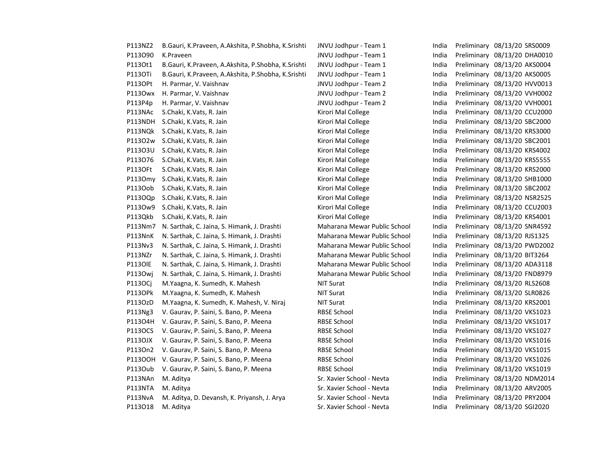| P113NZ2        | B.Gauri, K.Praveen, A.Akshita, P.Shobha, K.Srishti | JNVU Jodhpur - Team 1        | India | Preliminary 08/13/20 SRS0009 |
|----------------|----------------------------------------------------|------------------------------|-------|------------------------------|
| P113090        | K.Praveen                                          | JNVU Jodhpur - Team 1        | India | Preliminary 08/13/20 DHA0010 |
| P1130t1        | B.Gauri, K.Praveen, A.Akshita, P.Shobha, K.Srishti | JNVU Jodhpur - Team 1        | India | Preliminary 08/13/20 AKS0004 |
| P1130Ti        | B.Gauri, K.Praveen, A.Akshita, P.Shobha, K.Srishti | JNVU Jodhpur - Team 1        | India | Preliminary 08/13/20 AKS0005 |
| P1130Pt        | H. Parmar, V. Vaishnav                             | JNVU Jodhpur - Team 2        | India | Preliminary 08/13/20 HVV0013 |
| P1130wx        | H. Parmar, V. Vaishnav                             | JNVU Jodhpur - Team 2        | India | Preliminary 08/13/20 VVH0002 |
| P113P4p        | H. Parmar, V. Vaishnav                             | JNVU Jodhpur - Team 2        | India | Preliminary 08/13/20 VVH0001 |
| P113NAc        | S.Chaki, K.Vats, R. Jain                           | Kirori Mal College           | India | Preliminary 08/13/20 CCU2000 |
| P113NDH        | S.Chaki, K.Vats, R. Jain                           | Kirori Mal College           | India | Preliminary 08/13/20 SBC2000 |
| P113NQk        | S.Chaki, K.Vats, R. Jain                           | Kirori Mal College           | India | Preliminary 08/13/20 KRS3000 |
| P11302w        | S.Chaki, K.Vats, R. Jain                           | Kirori Mal College           | India | Preliminary 08/13/20 SBC2001 |
| P11303U        | S.Chaki, K.Vats, R. Jain                           | Kirori Mal College           | India | Preliminary 08/13/20 KRS4002 |
| P113076        | S.Chaki, K.Vats, R. Jain                           | Kirori Mal College           | India | Preliminary 08/13/20 KRS5555 |
| P1130Ft        | S.Chaki, K.Vats, R. Jain                           | Kirori Mal College           | India | Preliminary 08/13/20 KRS2000 |
|                | P113Omy S.Chaki, K.Vats, R. Jain                   | Kirori Mal College           | India | Preliminary 08/13/20 SHB1000 |
| P113Oob        | S.Chaki, K.Vats, R. Jain                           | Kirori Mal College           | India | Preliminary 08/13/20 SBC2002 |
| P1130Qp        | S.Chaki, K.Vats, R. Jain                           | Kirori Mal College           | India | Preliminary 08/13/20 NSR2525 |
| P113Ow9        | S.Chaki, K.Vats, R. Jain                           | Kirori Mal College           | India | Preliminary 08/13/20 CCU2003 |
| P113Qkb        | S.Chaki, K.Vats, R. Jain                           | Kirori Mal College           | India | Preliminary 08/13/20 KRS4001 |
| P113Nm7        | N. Sarthak, C. Jaina, S. Himank, J. Drashti        | Maharana Mewar Public School | India | Preliminary 08/13/20 SNR4592 |
| P113NnK        | N. Sarthak, C. Jaina, S. Himank, J. Drashti        | Maharana Mewar Public School | India | Preliminary 08/13/20 RJS1325 |
| P113Nv3        | N. Sarthak, C. Jaina, S. Himank, J. Drashti        | Maharana Mewar Public School | India | Preliminary 08/13/20 PWD2002 |
| P113NZr        | N. Sarthak, C. Jaina, S. Himank, J. Drashti        | Maharana Mewar Public School | India | Preliminary 08/13/20 BIT3264 |
| <b>P1130IE</b> | N. Sarthak, C. Jaina, S. Himank, J. Drashti        | Maharana Mewar Public School | India | Preliminary 08/13/20 ADA3118 |
| <b>P113Owj</b> | N. Sarthak, C. Jaina, S. Himank, J. Drashti        | Maharana Mewar Public School | India | Preliminary 08/13/20 FND8979 |
| <b>P113OCj</b> | M.Yaagna, K. Sumedh, K. Mahesh                     | <b>NIT Surat</b>             | India | Preliminary 08/13/20 RLS2608 |
| P1130Pk        | M.Yaagna, K. Sumedh, K. Mahesh                     | <b>NIT Surat</b>             | India | Preliminary 08/13/20 SLR0826 |
| P113OzD        | M.Yaagna, K. Sumedh, K. Mahesh, V. Niraj           | <b>NIT Surat</b>             | India | Preliminary 08/13/20 KRS2001 |
| P113Ng3        | V. Gaurav, P. Saini, S. Bano, P. Meena             | <b>RBSE School</b>           | India | Preliminary 08/13/20 VKS1023 |
| P11304H        | V. Gaurav, P. Saini, S. Bano, P. Meena             | <b>RBSE School</b>           | India | Preliminary 08/13/20 VKS1017 |
| <b>P113OCS</b> | V. Gaurav, P. Saini, S. Bano, P. Meena             | <b>RBSE School</b>           | India | Preliminary 08/13/20 VKS1027 |
| P113OJX        | V. Gaurav, P. Saini, S. Bano, P. Meena             | <b>RBSE School</b>           | India | Preliminary 08/13/20 VKS1016 |
| P113On2        | V. Gaurav, P. Saini, S. Bano, P. Meena             | <b>RBSE School</b>           | India | Preliminary 08/13/20 VKS1015 |
| P11300H        | V. Gaurav, P. Saini, S. Bano, P. Meena             | <b>RBSE School</b>           | India | Preliminary 08/13/20 VKS1026 |
| P113Oub        | V. Gaurav, P. Saini, S. Bano, P. Meena             | <b>RBSE School</b>           | India | Preliminary 08/13/20 VKS1019 |
| P113NAn        | M. Aditya                                          | Sr. Xavier School - Nevta    | India | Preliminary 08/13/20 NDM2014 |
| P113NTA        | M. Aditya                                          | Sr. Xavier School - Nevta    | India | Preliminary 08/13/20 ARV2005 |
| P113NvA        | M. Aditya, D. Devansh, K. Priyansh, J. Arya        | Sr. Xavier School - Nevta    | India | Preliminary 08/13/20 PRY2004 |
| P113018        | M. Aditya                                          | Sr. Xavier School - Nevta    | India | Preliminary 08/13/20 SGI2020 |
|                |                                                    |                              |       |                              |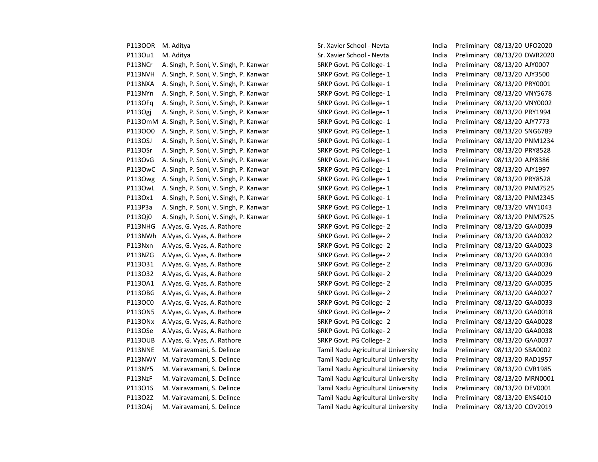| P113OOR M. Aditya |                                                | Sr. Xavier School - Nevta          | India | Preliminary 08/13/20 UFO2020 |
|-------------------|------------------------------------------------|------------------------------------|-------|------------------------------|
| P1130u1           | M. Aditya                                      | Sr. Xavier School - Nevta          | India | Preliminary 08/13/20 DWR2020 |
| P113NCr           | A. Singh, P. Soni, V. Singh, P. Kanwar         | SRKP Govt. PG College-1            | India | Preliminary 08/13/20 AJY0007 |
| P113NVH           | A. Singh, P. Soni, V. Singh, P. Kanwar         | SRKP Govt. PG College-1            | India | Preliminary 08/13/20 AJY3500 |
| P113NXA           | A. Singh, P. Soni, V. Singh, P. Kanwar         | SRKP Govt. PG College-1            | India | Preliminary 08/13/20 PRY0001 |
| P113NYn           | A. Singh, P. Soni, V. Singh, P. Kanwar         | SRKP Govt. PG College-1            | India | Preliminary 08/13/20 VNY5678 |
| P113OFq           | A. Singh, P. Soni, V. Singh, P. Kanwar         | SRKP Govt. PG College-1            | India | Preliminary 08/13/20 VNY0002 |
| P113Ogj           | A. Singh, P. Soni, V. Singh, P. Kanwar         | SRKP Govt. PG College-1            | India | Preliminary 08/13/20 PRY1994 |
|                   | P113OmM A. Singh, P. Soni, V. Singh, P. Kanwar | SRKP Govt. PG College-1            | India | Preliminary 08/13/20 AJY7773 |
| P113000           | A. Singh, P. Soni, V. Singh, P. Kanwar         | SRKP Govt. PG College-1            | India | Preliminary 08/13/20 SNG6789 |
| P113OSJ           | A. Singh, P. Soni, V. Singh, P. Kanwar         | SRKP Govt. PG College-1            | India | Preliminary 08/13/20 PNM1234 |
| P1130Sr           | A. Singh, P. Soni, V. Singh, P. Kanwar         | SRKP Govt. PG College-1            | India | Preliminary 08/13/20 PRY8528 |
| <b>P113OvG</b>    | A. Singh, P. Soni, V. Singh, P. Kanwar         | SRKP Govt. PG College-1            | India | Preliminary 08/13/20 AJY8386 |
|                   | P113OwC A. Singh, P. Soni, V. Singh, P. Kanwar | SRKP Govt. PG College-1            | India | Preliminary 08/13/20 AJY1997 |
| P1130wg           | A. Singh, P. Soni, V. Singh, P. Kanwar         | SRKP Govt. PG College-1            | India | Preliminary 08/13/20 PRY8528 |
| P1130wL           | A. Singh, P. Soni, V. Singh, P. Kanwar         | SRKP Govt. PG College- 1           | India | Preliminary 08/13/20 PNM7525 |
| P113Ox1           | A. Singh, P. Soni, V. Singh, P. Kanwar         | SRKP Govt. PG College-1            | India | Preliminary 08/13/20 PNM2345 |
| P113P3a           | A. Singh, P. Soni, V. Singh, P. Kanwar         | SRKP Govt. PG College-1            | India | Preliminary 08/13/20 VNY1043 |
| P113Qj0           | A. Singh, P. Soni, V. Singh, P. Kanwar         | SRKP Govt. PG College-1            | India | Preliminary 08/13/20 PNM7525 |
| P113NHG           | A. Vyas, G. Vyas, A. Rathore                   | SRKP Govt. PG College-2            | India | Preliminary 08/13/20 GAA0039 |
|                   | P113NWh A.Vyas, G. Vyas, A. Rathore            | SRKP Govt. PG College-2            | India | Preliminary 08/13/20 GAA0032 |
| P113Nxn           | A. Vyas, G. Vyas, A. Rathore                   | SRKP Govt. PG College-2            | India | Preliminary 08/13/20 GAA0023 |
| P113NZG           | A. Vyas, G. Vyas, A. Rathore                   | SRKP Govt. PG College-2            | India | Preliminary 08/13/20 GAA0034 |
| P113031           | A. Vyas, G. Vyas, A. Rathore                   | SRKP Govt. PG College-2            | India | Preliminary 08/13/20 GAA0036 |
| P113O32           | A. Vyas, G. Vyas, A. Rathore                   | SRKP Govt. PG College-2            | India | Preliminary 08/13/20 GAA0029 |
| P1130A1           | A. Vyas, G. Vyas, A. Rathore                   | SRKP Govt. PG College- 2           | India | Preliminary 08/13/20 GAA0035 |
| P1130BG           | A.Vyas, G. Vyas, A. Rathore                    | SRKP Govt. PG College-2            | India | Preliminary 08/13/20 GAA0027 |
| P1130C0           | A. Vyas, G. Vyas, A. Rathore                   | SRKP Govt. PG College-2            | India | Preliminary 08/13/20 GAA0033 |
| P113ON5           | A. Vyas, G. Vyas, A. Rathore                   | SRKP Govt. PG College-2            | India | Preliminary 08/13/20 GAA0018 |
| P1130Nx           | A. Vyas, G. Vyas, A. Rathore                   | SRKP Govt. PG College-2            | India | Preliminary 08/13/20 GAA0028 |
| P113OSe           | A. Vyas, G. Vyas, A. Rathore                   | SRKP Govt. PG College-2            | India | Preliminary 08/13/20 GAA0038 |
| P1130UB           | A. Vyas, G. Vyas, A. Rathore                   | SRKP Govt. PG College-2            | India | Preliminary 08/13/20 GAA0037 |
| P113NNE           | M. Vairavamani, S. Delince                     | Tamil Nadu Agricultural University | India | Preliminary 08/13/20 SBA0002 |
|                   | P113NWY M. Vairavamani, S. Delince             | Tamil Nadu Agricultural University | India | Preliminary 08/13/20 RAD1957 |
| P113NY5           | M. Vairavamani, S. Delince                     | Tamil Nadu Agricultural University | India | Preliminary 08/13/20 CVR1985 |
| P113NzF           | M. Vairavamani, S. Delince                     | Tamil Nadu Agricultural University | India | Preliminary 08/13/20 MRN0001 |
| P11301S           | M. Vairavamani, S. Delince                     | Tamil Nadu Agricultural University | India | Preliminary 08/13/20 DEV0001 |
| P113O2Z           | M. Vairavamani, S. Delince                     | Tamil Nadu Agricultural University | India | Preliminary 08/13/20 ENS4010 |
| <b>P113OAj</b>    | M. Vairavamani, S. Delince                     | Tamil Nadu Agricultural University | India | Preliminary 08/13/20 COV2019 |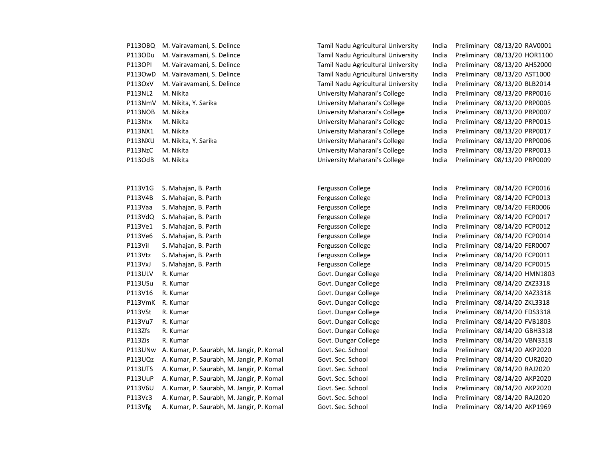| P113OBQ        | M. Vairavamani, S. Delince | Tamil Nadu Agricultural University | India | Preliminary 08/13/20 RAV0001 |  |
|----------------|----------------------------|------------------------------------|-------|------------------------------|--|
| P1130Du        | M. Vairavamani, S. Delince | Tamil Nadu Agricultural University | India | Preliminary 08/13/20 HOR1100 |  |
| <b>P113OPI</b> | M. Vairavamani, S. Delince | Tamil Nadu Agricultural University | India | Preliminary 08/13/20 AHS2000 |  |
| P1130wD        | M. Vairavamani, S. Delince | Tamil Nadu Agricultural University | India | Preliminary 08/13/20 AST1000 |  |
| P1130xV        | M. Vairavamani, S. Delince | Tamil Nadu Agricultural University | India | Preliminary 08/13/20 BLB2014 |  |
| P113NL2        | M. Nikita                  | University Maharani's College      | India | Preliminary 08/13/20 PRP0016 |  |
| P113NmV        | M. Nikita, Y. Sarika       | University Maharani's College      | India | Preliminary 08/13/20 PRP0005 |  |
| P113NOB        | M. Nikita                  | University Maharani's College      | India | Preliminary 08/13/20 PRP0007 |  |
| P113Ntx        | M. Nikita                  | University Maharani's College      | India | Preliminary 08/13/20 PRP0015 |  |
| P113NX1        | M. Nikita                  | University Maharani's College      | India | Preliminary 08/13/20 PRP0017 |  |
| P113NXU        | M. Nikita, Y. Sarika       | University Maharani's College      | India | Preliminary 08/13/20 PRP0006 |  |
| P113NzC        | M. Nikita                  | University Maharani's College      | India | Preliminary 08/13/20 PRP0013 |  |
| P113OdB        | M. Nikita                  | University Maharani's College      | India | Preliminary 08/13/20 PRP0009 |  |
|                |                            |                                    |       |                              |  |
|                |                            |                                    |       |                              |  |
| P113V1G        | S. Mahajan, B. Parth       | Fergusson College                  | India | Preliminary 08/14/20 FCP0016 |  |
| P113V4B        | S. Mahajan, B. Parth       | Fergusson College                  | India | Preliminary 08/14/20 FCP0013 |  |
| P113Vaa        | S. Mahajan, B. Parth       | Fergusson College                  | India | Preliminary 08/14/20 FER0006 |  |
| P113VdQ        | S. Mahajan, B. Parth       | Fergusson College                  | India | Preliminary 08/14/20 FCP0017 |  |
| P113Ve1        | S. Mahajan, B. Parth       | Fergusson College                  | India | Preliminary 08/14/20 FCP0012 |  |
| P113Ve6        | S. Mahajan, B. Parth       | Fergusson College                  | India | Preliminary 08/14/20 FCP0014 |  |
| P113Vil        | S. Mahajan, B. Parth       | Fergusson College                  | India | Preliminary 08/14/20 FER0007 |  |
| P113Vtz        | S. Mahajan, B. Parth       | Fergusson College                  | India | Preliminary 08/14/20 FCP0011 |  |
| P113VxJ        | S. Mahajan, B. Parth       | Fergusson College                  | India | Preliminary 08/14/20 FCP0015 |  |
| P113ULV        | R. Kumar                   | Govt. Dungar College               | India | Preliminary 08/14/20 HMN180  |  |
| P113USu        | R. Kumar                   | Govt. Dungar College               | India | Preliminary 08/14/20 ZXZ3318 |  |
| P113V16        | R. Kumar                   | Govt. Dungar College               | India | Preliminary 08/14/20 XAZ3318 |  |
| P113VmK        | R. Kumar                   | Govt. Dungar College               | India | Preliminary 08/14/20 ZKL3318 |  |
| P113VSt        | R. Kumar                   | Govt. Dungar College               | India | Preliminary 08/14/20 FDS3318 |  |
| P113Vu7        | R. Kumar                   | Govt. Dungar College               | India | Preliminary 08/14/20 FVB1803 |  |
| P113Zfs        | R. Kumar                   | Govt. Dungar College               | India | Preliminary 08/14/20 GBH3318 |  |
| P113Zis        | R. Kumar                   | Govt. Dungar College               | India | Preliminary 08/14/20 VBN3318 |  |

P113UNw A. Kumar, P. Saurabh, M. Jangir, P. Komal Govt. Sec. School India Preliminary 08/14/20 AKP2020 P113UQz A. Kumar, P. Saurabh, M. Jangir, P. Komal Govt. Sec. School India Preliminary 08/14/20 CUR2020 P113UTS A. Kumar, P. Saurabh, M. Jangir, P. Komal Govt. Sec. School India Preliminary 08/14/20 RAJ2020 P113UuP A. Kumar, P. Saurabh, M. Jangir, P. Komal Govt. Sec. School India Preliminary 08/14/20 AKP2020 P113V6U A. Kumar, P. Saurabh, M. Jangir, P. Komal Govt. Sec. School India Preliminary 08/14/20 AKP2020 P113Vc3 A. Kumar, P. Saurabh, M. Jangir, P. Komal Govt. Sec. School India Preliminary 08/14/20 RAJ2020

India Preliminary 08/14/20 FCP0016 India Preliminary 08/14/20 FCP0013 India Preliminary 08/14/20 FER0006 India Preliminary 08/14/20 FCP0017 India Preliminary 08/14/20 FCP0012 India Preliminary 08/14/20 FCP0014 India Preliminary 08/14/20 FER0007 India Preliminary 08/14/20 FCP0011 India Preliminary 08/14/20 FCP0015 India Preliminary 08/14/20 HMN1803 India Preliminary 08/14/20 ZXZ3318 India Preliminary 08/14/20 XAZ3318 India Preliminary 08/14/20 ZKL3318 India Preliminary 08/14/20 FDS3318 India Preliminary 08/14/20 FVB1803 India Preliminary 08/14/20 GBH3318 P113Vfg A. Kumar, P. Saurabh, M. Jangir, P. Komal Govt. Sec. School India Preliminary 08/14/20 AKP1969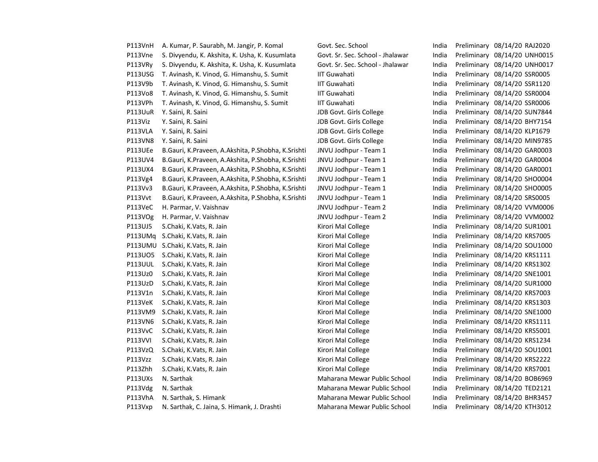| P113VnH        | A. Kumar, P. Saurabh, M. Jangir, P. Komal          | Govt. Sec. School                | India | Preliminary 08/14/20 RAJ2020 |
|----------------|----------------------------------------------------|----------------------------------|-------|------------------------------|
| P113Vne        | S. Divyendu, K. Akshita, K. Usha, K. Kusumlata     | Govt. Sr. Sec. School - Jhalawar | India | Preliminary 08/14/20 UNH0015 |
| P113VRy        | S. Divyendu, K. Akshita, K. Usha, K. Kusumlata     | Govt. Sr. Sec. School - Jhalawar | India | Preliminary 08/14/20 UNH0017 |
| P113USG        | T. Avinash, K. Vinod, G. Himanshu, S. Sumit        | <b>IIT Guwahati</b>              | India | Preliminary 08/14/20 SSR0005 |
| P113V9b        | T. Avinash, K. Vinod, G. Himanshu, S. Sumit        | <b>IIT Guwahati</b>              | India | Preliminary 08/14/20 SSR1120 |
| P113Vo8        | T. Avinash, K. Vinod, G. Himanshu, S. Sumit        | <b>IIT Guwahati</b>              | India | Preliminary 08/14/20 SSR0004 |
| P113VPh        | T. Avinash, K. Vinod, G. Himanshu, S. Sumit        | <b>IIT Guwahati</b>              | India | Preliminary 08/14/20 SSR0006 |
| P113UuR        | Y. Saini, R. Saini                                 | JDB Govt. Girls College          | India | Preliminary 08/14/20 SUN7844 |
| P113Viz        | Y. Saini, R. Saini                                 | JDB Govt. Girls College          | India | Preliminary 08/14/20 BHY7154 |
| P113VLA        | Y. Saini, R. Saini                                 | JDB Govt. Girls College          | India | Preliminary 08/14/20 KLP1679 |
| P113VN8        | Y. Saini, R. Saini                                 | JDB Govt. Girls College          | India | Preliminary 08/14/20 MIN9785 |
| P113UEe        | B.Gauri, K.Praveen, A.Akshita, P.Shobha, K.Srishti | JNVU Jodhpur - Team 1            | India | Preliminary 08/14/20 GAR0003 |
| P113UV4        | B.Gauri, K.Praveen, A.Akshita, P.Shobha, K.Srishti | JNVU Jodhpur - Team 1            | India | Preliminary 08/14/20 GAR0004 |
| P113UX4        | B.Gauri, K.Praveen, A.Akshita, P.Shobha, K.Srishti | JNVU Jodhpur - Team 1            | India | Preliminary 08/14/20 GAR0001 |
| P113Vg4        | B.Gauri, K.Praveen, A.Akshita, P.Shobha, K.Srishti | JNVU Jodhpur - Team 1            | India | Preliminary 08/14/20 SHO0004 |
| P113Vv3        | B.Gauri, K.Praveen, A.Akshita, P.Shobha, K.Srishti | JNVU Jodhpur - Team 1            | India | Preliminary 08/14/20 SHO0005 |
| P113Vvt        | B.Gauri, K.Praveen, A.Akshita, P.Shobha, K.Srishti | JNVU Jodhpur - Team 1            | India | Preliminary 08/14/20 SRS0005 |
| P113VeC        | H. Parmar, V. Vaishnav                             | JNVU Jodhpur - Team 2            | India | Preliminary 08/14/20 VVM0006 |
| P113VOg        | H. Parmar, V. Vaishnav                             | JNVU Jodhpur - Team 2            | India | Preliminary 08/14/20 VVM0002 |
| P113UJ5        | S.Chaki, K.Vats, R. Jain                           | Kirori Mal College               | India | Preliminary 08/14/20 SUR1001 |
| P113UMq        | S.Chaki, K.Vats, R. Jain                           | Kirori Mal College               | India | Preliminary 08/14/20 KRS7005 |
|                | P113UMU S.Chaki, K.Vats, R. Jain                   | Kirori Mal College               | India | Preliminary 08/14/20 SOU1000 |
| P113U05        | S.Chaki, K.Vats, R. Jain                           | Kirori Mal College               | India | Preliminary 08/14/20 KRS1111 |
| P113UUL        | S.Chaki, K.Vats, R. Jain                           | Kirori Mal College               | India | Preliminary 08/14/20 KRS1302 |
| P113Uz0        | S.Chaki, K.Vats, R. Jain                           | Kirori Mal College               | India | Preliminary 08/14/20 SNE1001 |
| P113UzD        | S.Chaki, K.Vats, R. Jain                           | Kirori Mal College               | India | Preliminary 08/14/20 SUR1000 |
| P113V1n        | S.Chaki, K.Vats, R. Jain                           | Kirori Mal College               | India | Preliminary 08/14/20 KRS7003 |
| P113VeK        | S.Chaki, K.Vats, R. Jain                           | Kirori Mal College               | India | Preliminary 08/14/20 KRS1303 |
| P113VM9        | S.Chaki, K.Vats, R. Jain                           | Kirori Mal College               | India | Preliminary 08/14/20 SNE1000 |
| P113VN6        | S.Chaki, K.Vats, R. Jain                           | Kirori Mal College               | India | Preliminary 08/14/20 KRS1111 |
| P113VvC        | S.Chaki, K.Vats, R. Jain                           | Kirori Mal College               | India | Preliminary 08/14/20 KRS5001 |
| <b>P113VVI</b> | S.Chaki, K.Vats, R. Jain                           | Kirori Mal College               | India | Preliminary 08/14/20 KRS1234 |
| P113VzQ        | S.Chaki, K.Vats, R. Jain                           | Kirori Mal College               | India | Preliminary 08/14/20 SOU1001 |
| P113Vzz        | S.Chaki, K.Vats, R. Jain                           | Kirori Mal College               | India | Preliminary 08/14/20 KRS2222 |
| P113Zhh        | S.Chaki, K.Vats, R. Jain                           | Kirori Mal College               | India | Preliminary 08/14/20 KRS7001 |
| P113UXs        | N. Sarthak                                         | Maharana Mewar Public School     | India | Preliminary 08/14/20 BOB6969 |
| P113Vdg        | N. Sarthak                                         | Maharana Mewar Public School     | India | Preliminary 08/14/20 TED2121 |
| P113VhA        | N. Sarthak, S. Himank                              | Maharana Mewar Public School     | India | Preliminary 08/14/20 BHR3457 |
| P113Vxp        | N. Sarthak, C. Jaina, S. Himank, J. Drashti        | Maharana Mewar Public School     | India | Preliminary 08/14/20 KTH3012 |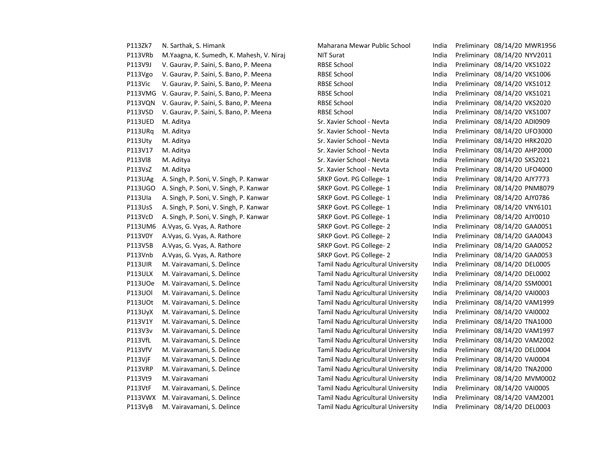| P113Zk7        | N. Sarthak, S. Himank                    | Maharana Mewar Public School       | India | Preliminary 08/14/20 MWR1956 |  |
|----------------|------------------------------------------|------------------------------------|-------|------------------------------|--|
| P113VRb        | M.Yaagna, K. Sumedh, K. Mahesh, V. Niraj | <b>NIT Surat</b>                   | India | Preliminary 08/14/20 NYV2011 |  |
| P113V9J        | V. Gaurav, P. Saini, S. Bano, P. Meena   | <b>RBSE School</b>                 | India | Preliminary 08/14/20 VKS1022 |  |
| P113Vgo        | V. Gaurav, P. Saini, S. Bano, P. Meena   | <b>RBSE School</b>                 | India | Preliminary 08/14/20 VKS1006 |  |
| P113Vic        | V. Gaurav, P. Saini, S. Bano, P. Meena   | <b>RBSE School</b>                 | India | Preliminary 08/14/20 VKS1012 |  |
| P113VMG        | V. Gaurav, P. Saini, S. Bano, P. Meena   | <b>RBSE School</b>                 | India | Preliminary 08/14/20 VKS1021 |  |
| P113VQN        | V. Gaurav, P. Saini, S. Bano, P. Meena   | <b>RBSE School</b>                 | India | Preliminary 08/14/20 VKS2020 |  |
| P113VSD        | V. Gaurav, P. Saini, S. Bano, P. Meena   | <b>RBSE School</b>                 | India | Preliminary 08/14/20 VKS1007 |  |
| P113UED        | M. Aditya                                | Sr. Xavier School - Nevta          | India | Preliminary 08/14/20 ADI0909 |  |
| P113URq        | M. Aditya                                | Sr. Xavier School - Nevta          | India | Preliminary 08/14/20 UFO3000 |  |
| P113Uty        | M. Aditya                                | Sr. Xavier School - Nevta          | India | Preliminary 08/14/20 HRK2020 |  |
| P113V17        | M. Aditya                                | Sr. Xavier School - Nevta          | India | Preliminary 08/14/20 AHP2000 |  |
| P113VI8        | M. Aditya                                | Sr. Xavier School - Nevta          | India | Preliminary 08/14/20 SXS2021 |  |
| P113VsZ        | M. Aditya                                | Sr. Xavier School - Nevta          | India | Preliminary 08/14/20 UFO4000 |  |
| P113UAg        | A. Singh, P. Soni, V. Singh, P. Kanwar   | SRKP Govt. PG College-1            | India | Preliminary 08/14/20 AJY7773 |  |
| <b>P113UGO</b> | A. Singh, P. Soni, V. Singh, P. Kanwar   | SRKP Govt. PG College-1            | India | Preliminary 08/14/20 PNM8079 |  |
| P113Ula        | A. Singh, P. Soni, V. Singh, P. Kanwar   | SRKP Govt. PG College-1            | India | Preliminary 08/14/20 AJY0786 |  |
| P113UsS        | A. Singh, P. Soni, V. Singh, P. Kanwar   | SRKP Govt. PG College-1            | India | Preliminary 08/14/20 VNY6101 |  |
| P113VcD        | A. Singh, P. Soni, V. Singh, P. Kanwar   | SRKP Govt. PG College-1            | India | Preliminary 08/14/20 AJY0010 |  |
| P113UM6        | A. Vyas, G. Vyas, A. Rathore             | SRKP Govt. PG College-2            | India | Preliminary 08/14/20 GAA0051 |  |
| P113V0Y        | A. Vyas, G. Vyas, A. Rathore             | SRKP Govt. PG College-2            | India | Preliminary 08/14/20 GAA0043 |  |
| P113V5B        | A. Vyas, G. Vyas, A. Rathore             | SRKP Govt. PG College-2            | India | Preliminary 08/14/20 GAA0052 |  |
| P113Vnb        | A. Vyas, G. Vyas, A. Rathore             | SRKP Govt. PG College-2            | India | Preliminary 08/14/20 GAA0053 |  |
| P113UIR        | M. Vairavamani, S. Delince               | Tamil Nadu Agricultural University | India | Preliminary 08/14/20 DEL0005 |  |
| P113ULX        | M. Vairavamani, S. Delince               | Tamil Nadu Agricultural University | India | Preliminary 08/14/20 DEL0002 |  |
| P113UOe        | M. Vairavamani, S. Delince               | Tamil Nadu Agricultural University | India | Preliminary 08/14/20 SSM0001 |  |
| <b>P113UOI</b> | M. Vairavamani, S. Delince               | Tamil Nadu Agricultural University | India | Preliminary 08/14/20 VAI0003 |  |
| P113UOt        | M. Vairavamani, S. Delince               | Tamil Nadu Agricultural University | India | Preliminary 08/14/20 VAM1999 |  |
| P113UyX        | M. Vairavamani, S. Delince               | Tamil Nadu Agricultural University | India | Preliminary 08/14/20 VAI0002 |  |
| P113V1Y        | M. Vairavamani, S. Delince               | Tamil Nadu Agricultural University | India | Preliminary 08/14/20 TNA1000 |  |
| P113V3v        | M. Vairavamani, S. Delince               | Tamil Nadu Agricultural University | India | Preliminary 08/14/20 VAM1997 |  |
| P113VfL        | M. Vairavamani, S. Delince               | Tamil Nadu Agricultural University | India | Preliminary 08/14/20 VAM2002 |  |
| P113VfV        | M. Vairavamani, S. Delince               | Tamil Nadu Agricultural University | India | Preliminary 08/14/20 DEL0004 |  |
| P113VjF        | M. Vairavamani, S. Delince               | Tamil Nadu Agricultural University | India | Preliminary 08/14/20 VAI0004 |  |
| P113VRP        | M. Vairavamani, S. Delince               | Tamil Nadu Agricultural University | India | Preliminary 08/14/20 TNA2000 |  |
| P113Vt9        | M. Vairavamani                           | Tamil Nadu Agricultural University | India | Preliminary 08/14/20 MVM0002 |  |
| P113VtF        | M. Vairavamani, S. Delince               | Tamil Nadu Agricultural University | India | Preliminary 08/14/20 VAI0005 |  |
| P113VWX        | M. Vairavamani, S. Delince               | Tamil Nadu Agricultural University | India | Preliminary 08/14/20 VAM2001 |  |
| P113VyB        | M. Vairavamani, S. Delince               | Tamil Nadu Agricultural University | India | Preliminary 08/14/20 DEL0003 |  |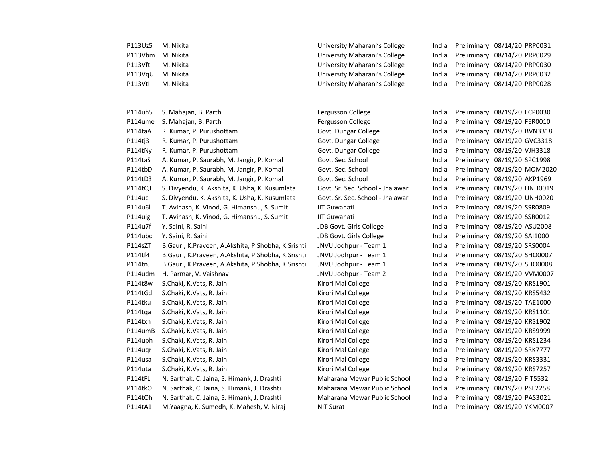| P113Uz5 | M. Nikita                                          | University Maharani's College    | India | Preliminary 08/14/20 PRP0031 |
|---------|----------------------------------------------------|----------------------------------|-------|------------------------------|
| P113Vbm | M. Nikita                                          | University Maharani's College    | India | Preliminary 08/14/20 PRP0029 |
| P113Vft | M. Nikita                                          | University Maharani's College    | India | Preliminary 08/14/20 PRP0030 |
| P113VqU | M. Nikita                                          | University Maharani's College    | India | Preliminary 08/14/20 PRP0032 |
| P113Vtl | M. Nikita                                          | University Maharani's College    | India | Preliminary 08/14/20 PRP0028 |
|         |                                                    |                                  |       |                              |
|         |                                                    |                                  |       |                              |
| P114uh5 | S. Mahajan, B. Parth                               | Fergusson College                | India | Preliminary 08/19/20 FCP0030 |
| P114ume | S. Mahajan, B. Parth                               | Fergusson College                | India | Preliminary 08/19/20 FER0010 |
| P114taA | R. Kumar, P. Purushottam                           | Govt. Dungar College             | India | Preliminary 08/19/20 BVN3318 |
| P114tj3 | R. Kumar, P. Purushottam                           | Govt. Dungar College             | India | Preliminary 08/19/20 GVC3318 |
| P114tNy | R. Kumar, P. Purushottam                           | Govt. Dungar College             | India | Preliminary 08/19/20 VJH3318 |
| P114taS | A. Kumar, P. Saurabh, M. Jangir, P. Komal          | Govt. Sec. School                | India | Preliminary 08/19/20 SPC1998 |
| P114tbD | A. Kumar, P. Saurabh, M. Jangir, P. Komal          | Govt. Sec. School                | India | Preliminary 08/19/20 MOM2020 |
| P114tD3 | A. Kumar, P. Saurabh, M. Jangir, P. Komal          | Govt. Sec. School                | India | Preliminary 08/19/20 AKP1969 |
| P114tQT | S. Divyendu, K. Akshita, K. Usha, K. Kusumlata     | Govt. Sr. Sec. School - Jhalawar | India | Preliminary 08/19/20 UNH0019 |
| P114uci | S. Divyendu, K. Akshita, K. Usha, K. Kusumlata     | Govt. Sr. Sec. School - Jhalawar | India | Preliminary 08/19/20 UNH0020 |
| P114u6l | T. Avinash, K. Vinod, G. Himanshu, S. Sumit        | <b>IIT Guwahati</b>              | India | Preliminary 08/19/20 SSR0809 |
| P114uig | T. Avinash, K. Vinod, G. Himanshu, S. Sumit        | <b>IIT Guwahati</b>              | India | Preliminary 08/19/20 SSR0012 |
| P114u7f | Y. Saini, R. Saini                                 | JDB Govt. Girls College          | India | Preliminary 08/19/20 ASU2008 |
| P114ubc | Y. Saini, R. Saini                                 | JDB Govt. Girls College          | India | Preliminary 08/19/20 SAI1000 |
| P114sZT | B.Gauri, K.Praveen, A.Akshita, P.Shobha, K.Srishti | JNVU Jodhpur - Team 1            | India | Preliminary 08/19/20 SRS0004 |
| P114tf4 | B.Gauri, K.Praveen, A.Akshita, P.Shobha, K.Srishti | JNVU Jodhpur - Team 1            | India | Preliminary 08/19/20 SHO0007 |
| P114tnJ | B.Gauri, K.Praveen, A.Akshita, P.Shobha, K.Srishti | JNVU Jodhpur - Team 1            | India | Preliminary 08/19/20 SHO0008 |
| P114udm | H. Parmar, V. Vaishnav                             | JNVU Jodhpur - Team 2            | India | Preliminary 08/19/20 VVM0007 |
| P114t8w | S.Chaki, K.Vats, R. Jain                           | Kirori Mal College               | India | Preliminary 08/19/20 KRS1901 |
| P114tGd | S.Chaki, K.Vats, R. Jain                           | Kirori Mal College               | India | Preliminary 08/19/20 KRS5432 |
| P114tku | S.Chaki, K.Vats, R. Jain                           | Kirori Mal College               | India | Preliminary 08/19/20 TAE1000 |
| P114tqa | S.Chaki, K.Vats, R. Jain                           | Kirori Mal College               | India | Preliminary 08/19/20 KRS1101 |
| P114txn | S.Chaki, K.Vats, R. Jain                           | Kirori Mal College               | India | Preliminary 08/19/20 KRS1902 |
| P114umB | S.Chaki, K.Vats, R. Jain                           | Kirori Mal College               | India | Preliminary 08/19/20 KRS9999 |
| P114uph | S.Chaki, K.Vats, R. Jain                           | Kirori Mal College               | India | Preliminary 08/19/20 KRS1234 |
| P114ugr | S.Chaki, K.Vats, R. Jain                           | Kirori Mal College               | India | Preliminary 08/19/20 SRK7777 |
| P114usa | S.Chaki, K.Vats, R. Jain                           | Kirori Mal College               | India | Preliminary 08/19/20 KRS3331 |
| P114uta | S.Chaki, K.Vats, R. Jain                           | Kirori Mal College               | India | Preliminary 08/19/20 KRS7257 |
| P114tFL | N. Sarthak, C. Jaina, S. Himank, J. Drashti        | Maharana Mewar Public School     | India | Preliminary 08/19/20 FIT5532 |
| P114tkO | N. Sarthak, C. Jaina, S. Himank, J. Drashti        | Maharana Mewar Public School     | India | Preliminary 08/19/20 PSF2258 |
| P114tOh | N. Sarthak, C. Jaina, S. Himank, J. Drashti        | Maharana Mewar Public School     | India | Preliminary 08/19/20 PAS3021 |
| P114tA1 | M.Yaagna, K. Sumedh, K. Mahesh, V. Niraj           | <b>NIT Surat</b>                 | India | Preliminary 08/19/20 YKM0007 |